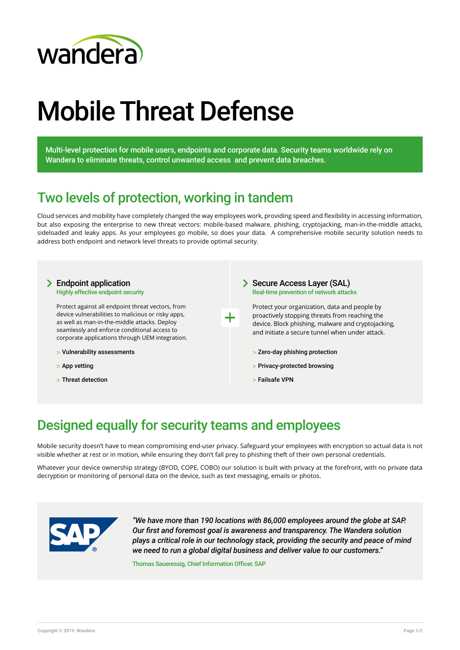

# Mobile Threat Defense

Multi-level protection for mobile users, endpoints and corporate data. Security teams worldwide rely on Wandera to eliminate threats, control unwanted access and prevent data breaches.

### Two levels of protection, working in tandem

Cloud services and mobility have completely changed the way employees work, providing speed and fexibility in accessing information, but also exposing the enterprise to new threat vectors: mobile-based malware, phishing, cryptojacking, man-in-the-middle attacks, sideloaded and leaky apps. As your employees go mobile, so does your data. A comprehensive mobile security solution needs to address both endpoint and network level threats to provide optimal security.



### Designed equally for security teams and employees

Mobile security doesn't have to mean compromising end-user privacy. Safeguard your employees with encryption so actual data is not visible whether at rest or in motion, while ensuring they don't fall prey to phishing theft of their own personal credentials.

Whatever your device ownership strategy (BYOD, COPE, COBO) our solution is built with privacy at the forefront, with no private data decryption or monitoring of personal data on the device, such as text messaging, emails or photos.



*"We have more than 190 locations with 86,000 employees around the globe at SAP. Our frst and foremost goal is awareness and transparency. The Wandera solution plays a critical role in our technology stack, providing the security and peace of mind we need to run a global digital business and deliver value to our customers."*

Thomas Saueressig, Chief Information Officer, SAP